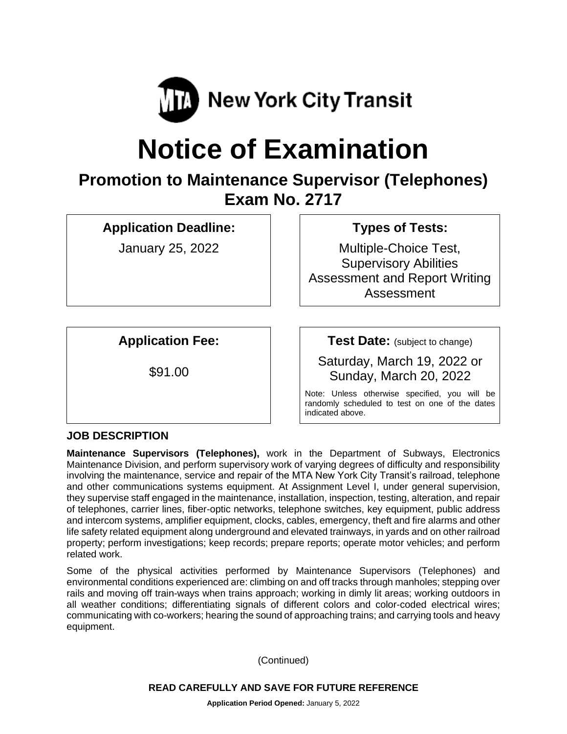

# **Notice of Examination**

## **Promotion to Maintenance Supervisor (Telephones) Exam No. 2717**

**Application Deadline:**

January 25, 2022

## **Types of Tests:**

Multiple-Choice Test, Supervisory Abilities Assessment and Report Writing Assessment

**Application Fee:**

\$91.00

**Test Date:** (subject to change)

Saturday, March 19, 2022 or Sunday, March 20, 2022

Note: Unless otherwise specified, you will be randomly scheduled to test on one of the dates indicated above.

## **JOB DESCRIPTION**

**Maintenance Supervisors (Telephones),** work in the Department of Subways, Electronics Maintenance Division, and perform supervisory work of varying degrees of difficulty and responsibility involving the maintenance, service and repair of the MTA New York City Transit's railroad, telephone and other communications systems equipment. At Assignment Level I, under general supervision, they supervise staff engaged in the maintenance, installation, inspection, testing, alteration, and repair of telephones, carrier lines, fiber-optic networks, telephone switches, key equipment, public address and intercom systems, amplifier equipment, clocks, cables, emergency, theft and fire alarms and other life safety related equipment along underground and elevated trainways, in yards and on other railroad property; perform investigations; keep records; prepare reports; operate motor vehicles; and perform related work.

Some of the physical activities performed by Maintenance Supervisors (Telephones) and environmental conditions experienced are: climbing on and off tracks through manholes; stepping over rails and moving off train-ways when trains approach; working in dimly lit areas; working outdoors in all weather conditions; differentiating signals of different colors and color-coded electrical wires; communicating with co-workers; hearing the sound of approaching trains; and carrying tools and heavy equipment.

(Continued)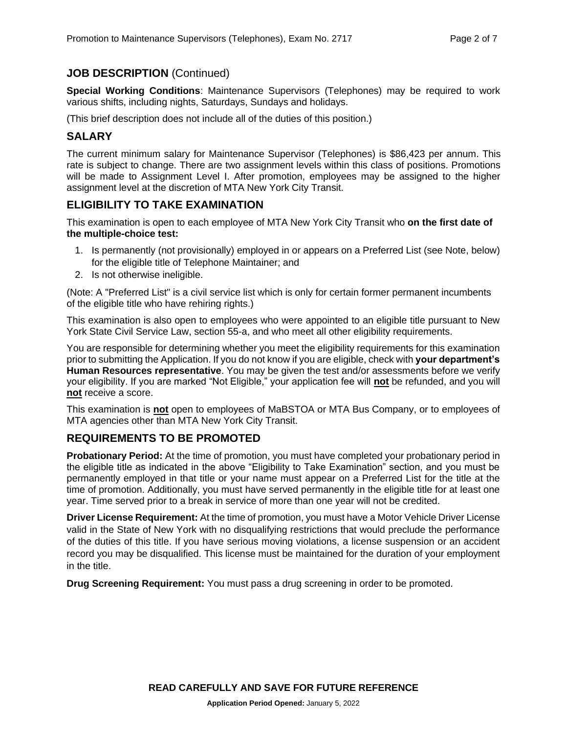## **JOB DESCRIPTION** (Continued)

**Special Working Conditions**: Maintenance Supervisors (Telephones) may be required to work various shifts, including nights, Saturdays, Sundays and holidays.

(This brief description does not include all of the duties of this position.)

## **SALARY**

The current minimum salary for Maintenance Supervisor (Telephones) is \$86,423 per annum. This rate is subject to change. There are two assignment levels within this class of positions. Promotions will be made to Assignment Level I. After promotion, employees may be assigned to the higher assignment level at the discretion of MTA New York City Transit.

## **ELIGIBILITY TO TAKE EXAMINATION**

This examination is open to each employee of MTA New York City Transit who **on the first date of the multiple-choice test:**

- 1. Is permanently (not provisionally) employed in or appears on a Preferred List (see Note, below) for the eligible title of Telephone Maintainer; and
- 2. Is not otherwise ineligible.

(Note: A "Preferred List" is a civil service list which is only for certain former permanent incumbents of the eligible title who have rehiring rights.)

This examination is also open to employees who were appointed to an eligible title pursuant to New York State Civil Service Law, section 55-a, and who meet all other eligibility requirements.

You are responsible for determining whether you meet the eligibility requirements for this examination prior to submitting the Application. If you do not know if you are eligible, check with **your department's Human Resources representative**. You may be given the test and/or assessments before we verify your eligibility. If you are marked "Not Eligible," your application fee will **not** be refunded, and you will **not** receive a score.

This examination is **not** open to employees of MaBSTOA or MTA Bus Company, or to employees of MTA agencies other than MTA New York City Transit.

## **REQUIREMENTS TO BE PROMOTED**

**Probationary Period:** At the time of promotion, you must have completed your probationary period in the eligible title as indicated in the above "Eligibility to Take Examination" section, and you must be permanently employed in that title or your name must appear on a Preferred List for the title at the time of promotion. Additionally, you must have served permanently in the eligible title for at least one year. Time served prior to a break in service of more than one year will not be credited.

**Driver License Requirement:** At the time of promotion, you must have a Motor Vehicle Driver License valid in the State of New York with no disqualifying restrictions that would preclude the performance of the duties of this title. If you have serious moving violations, a license suspension or an accident record you may be disqualified. This license must be maintained for the duration of your employment in the title.

**Drug Screening Requirement:** You must pass a drug screening in order to be promoted.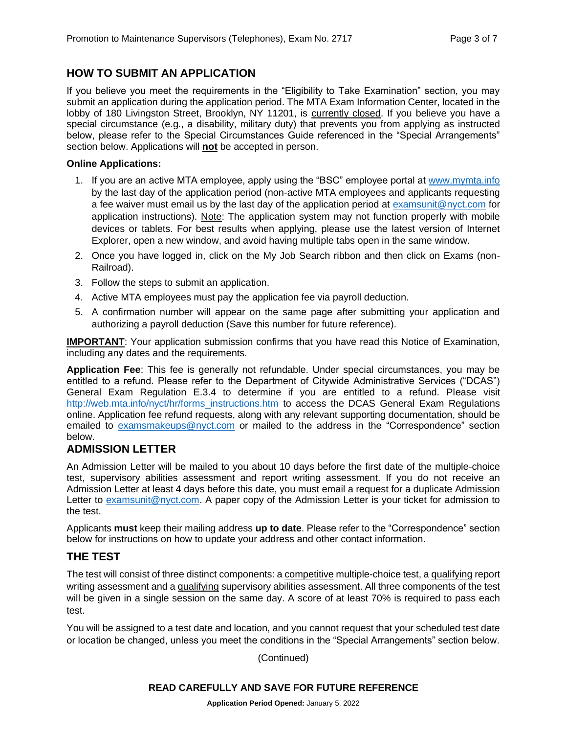## **HOW TO SUBMIT AN APPLICATION**

If you believe you meet the requirements in the "Eligibility to Take Examination" section, you may submit an application during the application period. The MTA Exam Information Center, located in the lobby of 180 Livingston Street, Brooklyn, NY 11201, is currently closed. If you believe you have a special circumstance (e.g., a disability, military duty) that prevents you from applying as instructed below, please refer to the Special Circumstances Guide referenced in the "Special Arrangements" section below. Applications will **not** be accepted in person.

#### **Online Applications:**

- 1. If you are an active MTA employee, apply using the "BSC" employee portal at [www.mymta.info](http://www.mymta.info/) by the last day of the application period (non-active MTA employees and applicants requesting a fee waiver must email us by the last day of the application period at [examsunit@nyct.com](mailto:examsunit@nyct.com) for application instructions). Note: The application system may not function properly with mobile devices or tablets. For best results when applying, please use the latest version of Internet Explorer, open a new window, and avoid having multiple tabs open in the same window.
- 2. Once you have logged in, click on the My Job Search ribbon and then click on Exams (non-Railroad).
- 3. Follow the steps to submit an application.
- 4. Active MTA employees must pay the application fee via payroll deduction.
- 5. A confirmation number will appear on the same page after submitting your application and authorizing a payroll deduction (Save this number for future reference).

**IMPORTANT**: Your application submission confirms that you have read this Notice of Examination, including any dates and the requirements.

**Application Fee**: This fee is generally not refundable. Under special circumstances, you may be entitled to a refund. Please refer to the Department of Citywide Administrative Services ("DCAS") General Exam Regulation E.3.4 to determine if you are entitled to a refund. Please visit [http://web.mta.info/nyct/hr/forms\\_instructions.htm](http://web.mta.info/nyct/hr/forms_instructions.htm) to access the DCAS General Exam Regulations online. Application fee refund requests, along with any relevant supporting documentation, should be emailed to [examsmakeups@nyct.com](mailto:examsmakeups@nyct.com) or mailed to the address in the "Correspondence" section below.

## **ADMISSION LETTER**

An Admission Letter will be mailed to you about 10 days before the first date of the multiple-choice test, supervisory abilities assessment and report writing assessment. If you do not receive an Admission Letter at least 4 days before this date, you must email a request for a duplicate Admission Letter to [examsunit@nyct.com.](mailto:examsunit@nyct.com) A paper copy of the Admission Letter is your ticket for admission to the test.

Applicants **must** keep their mailing address **up to date**. Please refer to the "Correspondence" section below for instructions on how to update your address and other contact information.

## **THE TEST**

The test will consist of three distinct components: a competitive multiple-choice test, a qualifying report writing assessment and a qualifying supervisory abilities assessment. All three components of the test will be given in a single session on the same day. A score of at least 70% is required to pass each test.

You will be assigned to a test date and location, and you cannot request that your scheduled test date or location be changed, unless you meet the conditions in the "Special Arrangements" section below.

(Continued)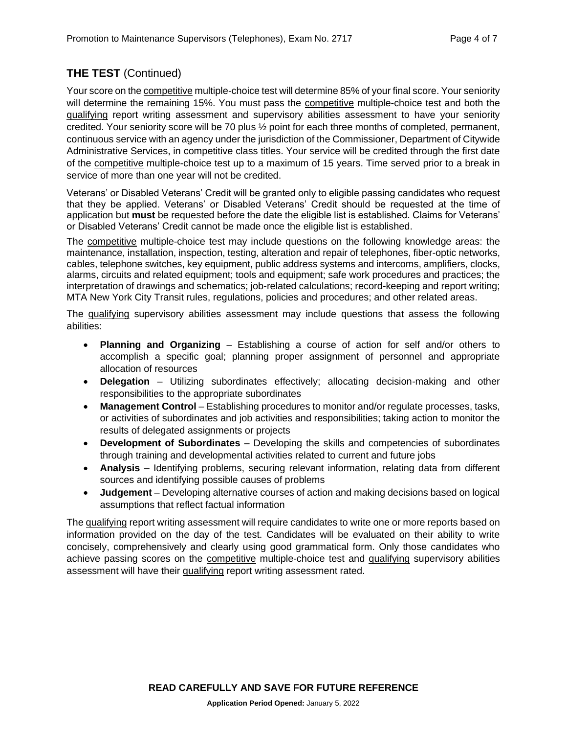## **THE TEST** (Continued)

Your score on the competitive multiple-choice test will determine 85% of your final score. Your seniority will determine the remaining 15%. You must pass the competitive multiple-choice test and both the qualifying report writing assessment and supervisory abilities assessment to have your seniority credited. Your seniority score will be 70 plus ½ point for each three months of completed, permanent, continuous service with an agency under the jurisdiction of the Commissioner, Department of Citywide Administrative Services, in competitive class titles. Your service will be credited through the first date of the competitive multiple-choice test up to a maximum of 15 years. Time served prior to a break in service of more than one year will not be credited.

Veterans' or Disabled Veterans' Credit will be granted only to eligible passing candidates who request that they be applied. Veterans' or Disabled Veterans' Credit should be requested at the time of application but **must** be requested before the date the eligible list is established. Claims for Veterans' or Disabled Veterans' Credit cannot be made once the eligible list is established.

The competitive multiple-choice test may include questions on the following knowledge areas: the maintenance, installation, inspection, testing, alteration and repair of telephones, fiber-optic networks, cables, telephone switches, key equipment, public address systems and intercoms, amplifiers, clocks, alarms, circuits and related equipment; tools and equipment; safe work procedures and practices; the interpretation of drawings and schematics; job-related calculations; record-keeping and report writing; MTA New York City Transit rules, regulations, policies and procedures; and other related areas.

The qualifying supervisory abilities assessment may include questions that assess the following abilities:

- **Planning and Organizing** Establishing a course of action for self and/or others to accomplish a specific goal; planning proper assignment of personnel and appropriate allocation of resources
- **Delegation** Utilizing subordinates effectively; allocating decision-making and other responsibilities to the appropriate subordinates
- **Management Control** Establishing procedures to monitor and/or regulate processes, tasks, or activities of subordinates and job activities and responsibilities; taking action to monitor the results of delegated assignments or projects
- **Development of Subordinates** Developing the skills and competencies of subordinates through training and developmental activities related to current and future jobs
- **Analysis** Identifying problems, securing relevant information, relating data from different sources and identifying possible causes of problems
- **Judgement** Developing alternative courses of action and making decisions based on logical assumptions that reflect factual information

The qualifying report writing assessment will require candidates to write one or more reports based on information provided on the day of the test. Candidates will be evaluated on their ability to write concisely, comprehensively and clearly using good grammatical form. Only those candidates who achieve passing scores on the competitive multiple-choice test and qualifying supervisory abilities assessment will have their qualifying report writing assessment rated.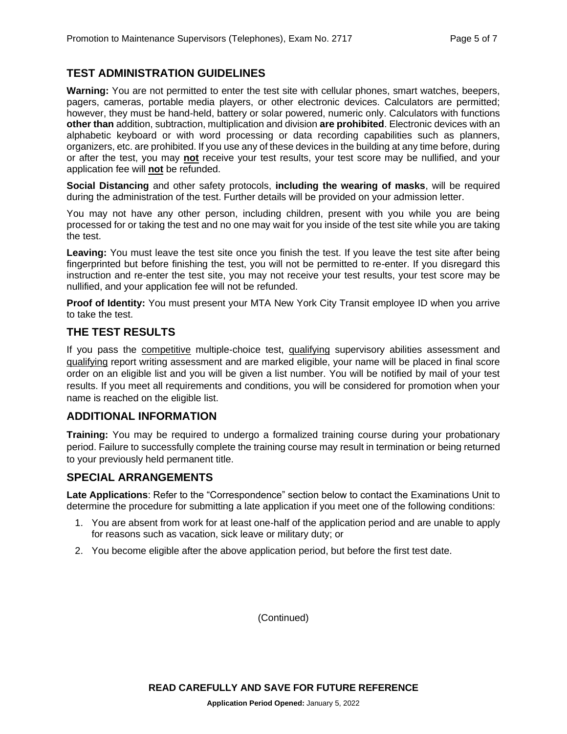#### **TEST ADMINISTRATION GUIDELINES**

**Warning:** You are not permitted to enter the test site with cellular phones, smart watches, beepers, pagers, cameras, portable media players, or other electronic devices. Calculators are permitted; however, they must be hand-held, battery or solar powered, numeric only. Calculators with functions **other than** addition, subtraction, multiplication and division **are prohibited**. Electronic devices with an alphabetic keyboard or with word processing or data recording capabilities such as planners, organizers, etc. are prohibited. If you use any of these devices in the building at any time before, during or after the test, you may **not** receive your test results, your test score may be nullified, and your application fee will **not** be refunded.

**Social Distancing** and other safety protocols, **including the wearing of masks**, will be required during the administration of the test. Further details will be provided on your admission letter.

You may not have any other person, including children, present with you while you are being processed for or taking the test and no one may wait for you inside of the test site while you are taking the test.

**Leaving:** You must leave the test site once you finish the test. If you leave the test site after being fingerprinted but before finishing the test, you will not be permitted to re-enter. If you disregard this instruction and re-enter the test site, you may not receive your test results, your test score may be nullified, and your application fee will not be refunded.

**Proof of Identity:** You must present your MTA New York City Transit employee ID when you arrive to take the test.

#### **THE TEST RESULTS**

If you pass the competitive multiple-choice test, qualifying supervisory abilities assessment and qualifying report writing assessment and are marked eligible, your name will be placed in final score order on an eligible list and you will be given a list number. You will be notified by mail of your test results. If you meet all requirements and conditions, you will be considered for promotion when your name is reached on the eligible list.

#### **ADDITIONAL INFORMATION**

**Training:** You may be required to undergo a formalized training course during your probationary period. Failure to successfully complete the training course may result in termination or being returned to your previously held permanent title.

#### **SPECIAL ARRANGEMENTS**

**Late Applications**: Refer to the "Correspondence" section below to contact the Examinations Unit to determine the procedure for submitting a late application if you meet one of the following conditions:

- 1. You are absent from work for at least one-half of the application period and are unable to apply for reasons such as vacation, sick leave or military duty; or
- 2. You become eligible after the above application period, but before the first test date.

(Continued)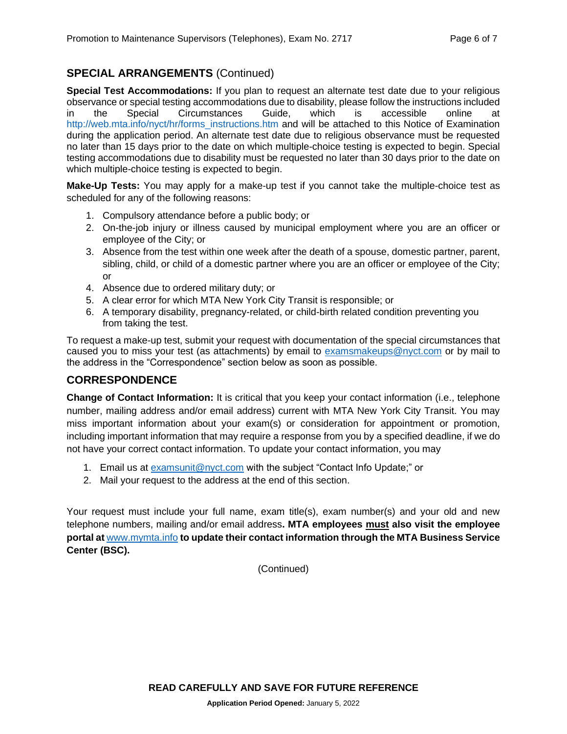## **SPECIAL ARRANGEMENTS** (Continued)

**Special Test Accommodations:** If you plan to request an alternate test date due to your religious observance or special testing accommodations due to disability, please follow the instructions included in the Special Circumstances Guide, which is accessible online at [http://web.mta.info/nyct/hr/forms\\_instructions.htm](http://web.mta.info/nyct/hr/forms_instructions.htm) and will be attached to this Notice of Examination during the application period. An alternate test date due to religious observance must be requested no later than 15 days prior to the date on which multiple-choice testing is expected to begin. Special testing accommodations due to disability must be requested no later than 30 days prior to the date on which multiple-choice testing is expected to begin.

**Make-Up Tests:** You may apply for a make-up test if you cannot take the multiple-choice test as scheduled for any of the following reasons:

- 1. Compulsory attendance before a public body; or
- 2. On-the-job injury or illness caused by municipal employment where you are an officer or employee of the City; or
- 3. Absence from the test within one week after the death of a spouse, domestic partner, parent, sibling, child, or child of a domestic partner where you are an officer or employee of the City; or
- 4. Absence due to ordered military duty; or
- 5. A clear error for which MTA New York City Transit is responsible; or
- 6. A temporary disability, pregnancy-related, or child-birth related condition preventing you from taking the test.

To request a make-up test, submit your request with documentation of the special circumstances that caused you to miss your test (as attachments) by email to [examsmakeups@nyct.com](mailto:examsmakeups@nyct.com) or by mail to the address in the "Correspondence" section below as soon as possible.

## **CORRESPONDENCE**

**Change of Contact Information:** It is critical that you keep your contact information (i.e., telephone number, mailing address and/or email address) current with MTA New York City Transit. You may miss important information about your exam(s) or consideration for appointment or promotion, including important information that may require a response from you by a specified deadline, if we do not have your correct contact information. To update your contact information, you may

- 1. Email us at [examsunit@nyct.com](mailto:examsunit@nyct.com) with the subject "Contact Info Update;" or
- 2. Mail your request to the address at the end of this section.

Your request must include your full name, exam title(s), exam number(s) and your old and new telephone numbers, mailing and/or email address**. MTA employees must also visit the employee portal at** [www.mymta.info](http://www.mymta.info/) **to update their contact information through the MTA Business Service Center (BSC).**

(Continued)